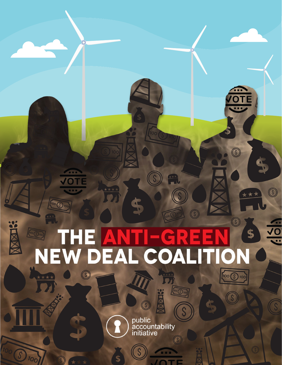#### $\circledS$ Î  $\sqrt{\frac{\log n}{\log n}}$ \$ HЕ  $\Delta$ F Ξ Ξ CO ON E  $\overline{\phantom{a}}$ D  $\Delta$  $\boldsymbol{\Lambda}$ N  $\sqrt{100}$  $\circledS$

**CERT** 

 $\circledS$ 

 $\circledS$ 

\$

 $100$ 

\*\*\*

 $\circledS$ 

 $\mathbf{O}$ 

 $\overline{\mathsf{O}}$ 

 $\sqrt{\frac{100}{5}}$ 

\*\*\*\*

区

 $\overline{\mathcal{S}}$ 

'Oc

public<br>accountability<br>initiative  $\circledS$ 

G

 $\mathcal{S}$ 

\$

**XMXDR?** 

 $\sqrt{(s)}$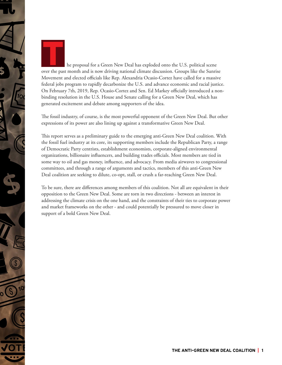

he proposal for a Green New Deal has exploded onto the U.S. political scene over the past month and is now driving national climate discussion. Groups like the Sunrise Movement and elected officials like Rep. Alexandria Ocasio-Cortez have called for a massive federal jobs program to rapidly decarbonize the U.S. and advance economic and racial justice. On February 7th, 2019, Rep. Ocasio-Cortez and Sen. Ed Markey officially introduced a nonbinding resolution in the U.S. House and Senate calling for a Green New Deal, which has generated excitement and debate among supporters of the idea.

The fossil industry, of course, is the most powerful opponent of the Green New Deal. But other expressions of its power are also lining up against a transformative Green New Deal.

This report serves as a preliminary guide to the emerging anti-Green New Deal coalition. With the fossil fuel industry at its core, its supporting members include the Republican Party, a range of Democratic Party centrists, establishment economists, corporate-aligned environmental organizations, billionaire influencers, and building trades officials. Most members are tied in some way to oil and gas money, influence, and advocacy. From media airwaves to congressional committees, and through a range of arguments and tactics, members of this anti-Green New Deal coalition are seeking to dilute, co-opt, stall, or crush a far-reaching Green New Deal.

To be sure, there are differences among members of this coalition. Not all are equivalent in their opposition to the Green New Deal. Some are torn in two directions - between an interest in addressing the climate crisis on the one hand, and the constraints of their ties to corporate power and market frameworks on the other - and could potentially be pressured to move closer in support of a bold Green New Deal.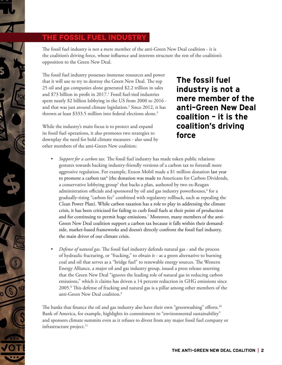### **The fossil fuel industry**

The fossil fuel industry is not a mere member of the anti-Green New Deal coalition - it is the coalition's driving force, whose influence and interests structure the rest of the coalition's opposition to the Green New Deal.

The fossil fuel industry possesses immense resources and power that it will use to try to destroy the Green New Deal. The top 25 oil and gas companies alone generated \$2.2 trillion in sales and \$73 billion in profit in 2017.<sup>1</sup> Fossil fuel-tied industries spent nearly \$2 billion lobbying in the US from 2000 to 2016 and that was just around climate legislation.2 Since 2012, it has thrown at least \$333.5 million into federal elections alone.<sup>3</sup>

While the industry's main focus is to protect and expand its fossil fuel operations, it also promotes two strategies to downplay the need for bold climate measures - also used by other members of the anti-Green New coalition:

The fossil fuel industry is not a mere member of the anti-Green New Deal coalition  $-$  it is the coalition's driving force

- *• Support for a carbon tax.* The fossil fuel industry has made token public relations gestures towards backing industry-friendly versions of a carbon tax to forestall more aggressive regulation. For example, Exxon Mobil made a \$1 million donation last year to promote a carbon tax<sup>4</sup> (the donation was made to Americans for Carbon Dividends, a conservative lobbying group<sup>5</sup> that backs a plan, authored by two ex-Reagan administration officials and sponsored by oil and gas industry powerhouses, $^6$  for a gradually-rising "carbon fee" combined with regulatory rollback, such as repealing the Clean Power Plan). While carbon taxation has a role to play in addressing the climate crisis, it has been criticized for failing to curb fossil fuels at their point of production and for continuing to permit huge emissions. $^7$  Moreover, many members of the anti-Green New Deal coalition support a carbon tax because it falls within their demandside, market-based frameworks and doesn't directly confront the fossil fuel industry, the main driver of our climate crisis.
- *• Defense of natural gas*. The fossil fuel industry defends natural gas and the process of hydraulic fracturing, or "fracking," to obtain it - as a green alternative to burning coal and oil that serves as a "bridge fuel" to renewable energy sources. The Western Energy Alliance, a major oil and gas industry group, issued a press release asserting that the Green New Deal "ignores the leading role of natural gas in reducing carbon emissions," which it claims has driven a 14 percent reduction in GHG emissions since 2005.8 This defense of fracking and natural gas is a pillar among other members of the anti-Green New Deal coalition.<sup>9</sup>

The banks that finance the oil and gas industry also have their own "greenwashing" efforts.<sup>10</sup> Bank of America, for example, highlights its commitment to "environmental sustainability" and sponsors climate summits even as it refuses to divest from any major fossil fuel company or infrastructure project.<sup>11</sup>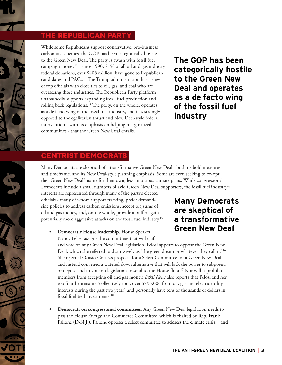## **The Republican Party**

While some Republicans support conservative, pro-business carbon tax schemes, the GOP has been categorically hostile to the Green New Deal. The party is awash with fossil fuel campaign money<sup>12</sup> - since 1990, 81% of all oil and gas industry federal donations, over \$408 million, have gone to Republican candidates and PACs.<sup>13</sup> The Trump administration has a slew of top officials with close ties to oil, gas, and coal who are overseeing those industries. The Republican Party platform unabashedly supports expanding fossil fuel production and rolling back regulations.<sup>14</sup> The party, on the whole, operates as a de facto wing of the fossil fuel industry, and it is strongly opposed to the egalitarian thrust and New Deal-style federal intervention - with its emphasis on helping marginalized communities - that the Green New Deal entails.

The GOP has been categorically hostile to the Green New Deal and operates as a de facto wing of the fossil fuel industry

#### **Centrist Democrats**

Many Democrats are skeptical of a transformative Green New Deal - both its bold measures and timeframe, and its New Deal-style planning emphasis. Some are even seeking to co-opt the "Green New Deal" name for their own, less ambitious climate plans. While congressional Democrats include a small numbers of avid Green New Deal supporters, the fossil fuel industry's

interests are represented through many of the party's elected officials - many of whom support fracking, prefer demandside policies to address carbon emissions, accept big sums of oil and gas money, and, on the whole, provide a buffer against potentially more aggressive attacks on the fossil fuel industry.15

# Many Democrats are skeptical of a transformative Green New Deal

**• Democratic House leadership**. House Speaker Nancy Pelosi assigns the committees that will craft

and vote on any Green New Deal legislation. Pelosi appears to oppose the Green New Deal, which she referred to dismissively as "the green dream or whatever they call it."<sup>16</sup> She rejected Ocasio-Cortez's proposal for a Select Committee for a Green New Deal and instead convened a watered down alternative that will lack the power to subpoena or depose and to vote on legislation to send to the House floor.<sup>17</sup> Nor will it prohibit members from accepting oil and gas money. *E&E News* also reports that Pelosi and her top four lieutenants "collectively took over \$790,000 from oil, gas and electric utility interests during the past two years" and personally have tens of thousands of dollars in fossil fuel-tied investments.18

**• Democrats on congressional committees**. Any Green New Deal legislation needs to pass the House Energy and Commerce Committee, which is chaired by Rep. Frank Pallone (D-N.J.). Pallone opposes a select committee to address the climate crisis,<sup>19</sup> and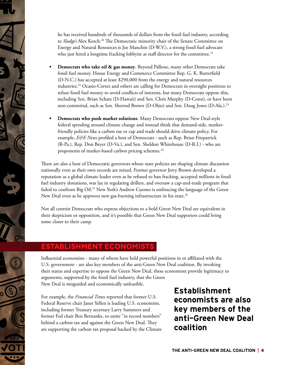he has received hundreds of thousands of dollars from the fossil fuel industry, according to *Sludge's* Alex Kotch.<sup>20</sup> The Democratic minority chair of the Senate Committee on Energy and Natural Resources is Joe Manchin (D-W.V.), a strong fossil fuel advocate who just hired a longtime fracking lobbyist as staff director for the committee.<sup>21</sup>

- **Democrats who take oil & gas money.** Beyond Pallone, many other Democrats take fossil fuel money. House Energy and Commerce Committee Rep. G. K. Butterfield (D-N.C.) has accepted at least \$290,000 from the energy and natural resources industries.22 Ocasio-Cortez and others are calling for Democrats in oversight positions to refuse fossil fuel money to avoid conflicts of interests, but many Democrats oppose this, including Sen. Brian Schatz (D-Hawaii) and Sen. Chris Murphy (D-Conn), or have been non-committal, such as Sen. Sherrod Brown (D-Ohio) and Sen. Doug Jones (D-Ala.).23
- **• Democrats who push market solutions**. Many Democrats oppose New Deal-style federal spending around climate change and instead think that demand-side, marketfriendly policies like a carbon tax or cap and trade should drive climate policy. For example, *E&E News* profiled a host of Democrats - such as Rep. Brian Fitzpatrick (R-Pa.), Rep. Don Beyer (D-Va.), and Sen. Sheldon Whitehouse (D-R.I.) - who are proponents of market-based carbon pricing schemes.<sup>24</sup>

There are also a host of Democratic governors whose state policies are shaping climate discussion nationally even as their own records are mixed. Former governor Jerry Brown developed a reputation as a global climate leader even as he refused to ban fracking, accepted millions in fossil fuel industry donations, was lax in regulating drillers, and oversaw a cap-and-trade program that failed to confront Big Oil.<sup>25</sup> New York's Andrew Cuomo is embracing the language of the Green New Deal even as he approves new gas-burning infrastructure in his state.<sup>26</sup>

Not all centrist Democrats who express objections to a bold Green New Deal are equivalent in their skepticism or opposition, and it's possible that Green New Deal supporters could bring some closer to their camp.

#### **ECONOMIST**

Influential economists - many of whom have held powerful positions in or affiliated with the U.S. government - are also key members of the anti-Green New Deal coalition. By invoking their status and expertise to oppose the Green New Deal, these economists provide legitimacy to arguments, supported by the fossil fuel industry, that the Green New Deal is misguided and economically unfeasible.

For example, the *Financial Times* reported that former U.S. Federal Reserve chair Janet Yellen is leading U.S. economists, including former Treasury secretary Larry Summers and former Fed chair Ben Bernanke, to unite "in record numbers" behind a carbon tax and against the Green New Deal. They are supporting the carbon tax proposal backed by the Climate

Establishment economists are also key members of the anti-Green New Deal coalition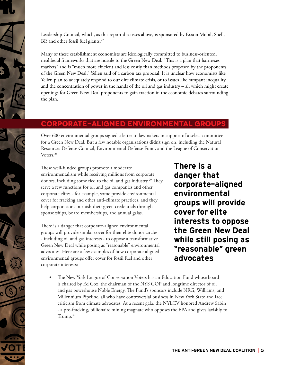

Leadership Council, which, as this report discusses above, is sponsored by Exxon Mobil, Shell, BP, and other fossil fuel giants.<sup>27</sup>

Many of these establishment economists are ideologically committed to business-oriented, neoliberal frameworks that are hostile to the Green New Deal. "This is a plan that harnesses markets" and is "much more efficient and less costly than methods proposed by the proponents of the Green New Deal," Yellen said of a carbon tax proposal. It is unclear how economists like Yellen plan to adequately respond to our dire climate crisis, or to issues like rampant inequality and the concentration of power in the hands of the oil and gas industry – all which might create openings for Green New Deal proponents to gain traction in the economic debates surrounding the plan.

### **Corporate-aligned environmental groups**

Over 600 environmental groups signed a letter to lawmakers in support of a select committee for a Green New Deal. But a few notable organizations didn't sign on, including the Natural Resources Defense Council, Environmental Defense Fund, and the League of Conservation Voters.28

These well-funded groups promote a moderate environmentalism while receiving millions from corporate donors, including some tied to the oil and gas industry.29 They serve a few functions for oil and gas companies and other corporate elites - for example, some provide environmental cover for fracking and other anti-climate practices, and they help corporations burnish their green credentials through sponsorships, board memberships, and annual galas.

There is a danger that corporate-aligned environmental groups will provide similar cover for their elite donor circles - including oil and gas interests - to oppose a transformative Green New Deal while posing as "reasonable" environmental advocates. Here are a few examples of how corporate-aligned environmental groups offer cover for fossil fuel and other corporate interests:

There is a danger that corporate-aligned environmental groups will provide cover for elite interests to oppose the Green New Deal while still posing as "reasonable" green advocates

• The New York League of Conservation Voters has an Education Fund whose board is chaired by Ed Cox, the chairman of the NYS GOP and longtime director of oil and gas powerhouse Noble Energy. The Fund's sponsors include NRG, Williams, and Millennium Pipeline, all who have controversial business in New York State and face criticism from climate advocates. At a recent gala, the NYLCV honored Andrew Sabin - a pro-fracking, billionaire mining magnate who opposes the EPA and gives lavishly to Trump. $30$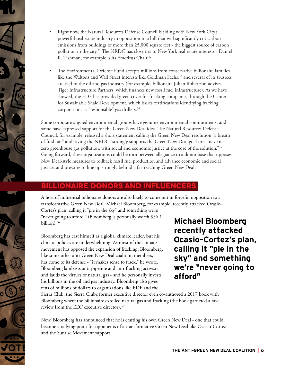- Right now, the Natural Resources Defense Council is siding with New York City's powerful real estate industry in opposition to a bill that will significantly cut carbon emissions from buildings of more than 25,000 square feet - the biggest source of carbon pollution in the city.31 The NRDC has close ties to New York real estate interests - Daniel R. Tishman, for example is its Emeritus Chair.<sup>32</sup>
- The Environmental Defense Fund accepts millions from conservative billionaire families like the Waltons and Wall Street interests like Goldman Sachs,<sup>33</sup> and several of its trustees are tied to the oil and gas industry (for example, billionaire Julian Robertson advises Tiger Infrastructure Partners, which finances new fossil fuel infrastructure). As we have showed, the EDF has provided green cover for fracking companies through the Center for Sustainable Shale Development, which issues certifications identifying fracking corporations as "responsible" gas drillers.<sup>34</sup>

Some corporate-aligned environmental groups have genuine environmental commitments, and some have expressed support for the Green New Deal idea. The Natural Resources Defense Council, for example, released a short statement calling the Green New Deal resolution "a breath of fresh air" and saying the NRDC "strongly supports the Green New Deal goal to achieve netzero greenhouse gas pollution, with social and economic justice at the core of the solution."<sup>35</sup> Going forward, these organizations could be torn between allegiance to a donor base that opposes New Deal-style measures to rollback fossil fuel production and advance economic and social justice, and pressure to line up strongly behind a far-reaching Green New Deal.

#### **Billionaire donors and influencers**

A host of influential billionaire donors are also likely to come out in forceful opposition to a transformative Green New Deal. Michael Bloomberg, for example, recently attacked Ocasio-Cortez's plan, calling it "pie in the sky" and something we're

"never going to afford." (Bloomberg is personally worth \$56.1 billion). $36$ 

Bloomberg has cast himself as a global climate leader, but his climate policies are underwhelming. As most of the climate movement has opposed the expansion of fracking, Bloomberg, like some other anti-Green New Deal coalition members, has come to its defense - "it makes sense to frack," he wrote. Bloomberg lambasts anti-pipeline and anti-fracking activists and lauds the virtues of natural gas - and he personally invests his billions in the oil and gas industry. Bloomberg also gives tens of millions of dollars to organizations like EDF and the

Michael Bloomberg recently attacked Ocasio-Cortez's plan, calling it "pie in the sky" and something we're "never going to afford"

Sierra Club; the Sierra Club's former executive director even co-authored a 2017 book with Bloomberg where the billionaire extolled natural gas and fracking (the book garnered a rave review from the EDF executive director).37

Now, Bloomberg has announced that he is crafting his own Green New Deal - one that could become a rallying point for opponents of a transformative Green New Deal like Ocasio-Cortez and the Sunrise Movement support.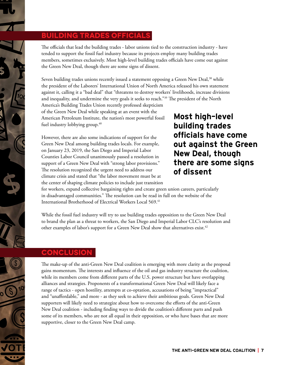#### **Building Trades Officials**

The officials that lead the building trades - labor unions tied to the construction industry - have tended to support the fossil fuel industry because its projects employ many building trades members, sometimes exclusively. Most high-level building trades officials have come out against the Green New Deal, though there are some signs of dissent.

Seven building trades unions recently issued a statement opposing a Green New Deal,<sup>38</sup> while the president of the Laborers' International Union of North America released his own statement against it, calling it a "bad deal" that "threatens to destroy workers' livelihoods, increase divisions and inequality, and undermine the very goals it seeks to reach."<sup>39</sup> The president of the North

America's Building Trades Union recently professed skepticism of the Green New Deal while speaking at an event with the American Petroleum Institute, the nation's most powerful fossil fuel industry lobbying group.<sup>40</sup>

However, there are also some indications of support for the Green New Deal among building trades locals. For example, on January 23, 2019, the San Diego and Imperial Labor Counties Labor Council unanimously passed a resolution in support of a Green New Deal with "strong labor provisions." The resolution recognized the urgent need to address our climate crisis and stated that "the labor movement must be at the center of shaping climate policies to include just transition Most high-level building trades officials have come out against the Green New Deal, though there are some signs of dissent

for workers, expand collective bargaining rights and create green union careers, particularly in disadvantaged communities." The resolution can be read in full on the website of the International Brotherhood of Electrical Workers Local 569.41

While the fossil fuel industry will try to use building trades opposition to the Green New Deal to brand the plan as a threat to workers, the San Diego and Imperial Labor CLC's resolution and other examples of labor's support for a Green New Deal show that alternatives exist.<sup>42</sup>

#### **Conclusion**

The make-up of the anti-Green New Deal coalition is emerging with more clarity as the proposal gains momentum. The interests and influence of the oil and gas industry structure the coalition, while its members come from different parts of the U.S. power structure but have overlapping alliances and strategies. Proponents of a transformational Green New Deal will likely face a range of tactics - open hostility, attempts at co-optation, accusations of being "impractical" and "unaffordable," and more - as they seek to achieve their ambitious goals. Green New Deal supporters will likely need to strategize about how to overcome the efforts of the anti-Green New Deal coalition - including finding ways to divide the coalition's different parts and push some of its members, who are not all equal in their opposition, or who have bases that are more supportive, closer to the Green New Deal camp.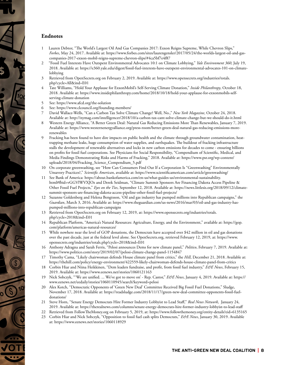#### **Endnotes**

- 1 Lauren Debtor, "The World's Largest Oil And Gas Companies 2017: Exxon Reigns Supreme, While Chevron Slips," *Forbes*, May 24, 2017. Available at: https://www.forbes.com/sites/laurengensler/2017/05/24/the-worlds-largest-oil-and-gascompanies-2017-exxon-mobil-reigns-supreme-chevron-slips/#4ca5bf7e4f87
- 2 "Fossil Fuel Interests Have Outspent Environmental Advocates 10:1 on Climate Lobbying," *Yale Environment 360*, July 19, 2018. Available at: https://e360.yale.edu/digest/fossil-fuel-interests-have-outspent-environmental-advocates-101-on-climatelobbying
- 3 Retrieved from OpenSecrets.org on February 2, 2019. Available at: https://www.opensecrets.org/industries/totals. php?cycle=All&ind=E01
- 4 Tate Williams, "Hold Your Applause for ExxonMobil's Self-Serving Climate Donation," *Inside Philanthropy*, October 18, 2018. Available at: https://www.insidephilanthropy.com/home/2018/10/18/hold-your-applause-for-exxonmobils-selfserving-climate-donation
- 5 See: https://www.afcd.org/the-solution
- 6 See: https://www.clcouncil.org/founding-members/
- 7 David Wallace-Wells, "Can a Carbon Tax Solve Climate Change? Well, No.," *New York Magazine*, October 24, 2018. Available at: http://nymag.com/intelligencer/2018/10/a-carbon-tax-cant-solve-climate-change-but-we-should-do-it.html
- 8 Western Energy Alliance, "A Better Green Deal: Natural Gas Reducing Emissions More Than Renewables, January 7, 2019. Available at: https://www.westernenergyalliance.org/press-room/better-green-deal-natural-gas-reducing-emissions-morerenewables
- Fracking has been found to have dire impacts on public health and the climate through groundwater contamination, heattrapping methane leaks, huge consumption of water supplies, and earthquakes. The buildout of fracking infrastructure stalls the development of renewable alternatives and locks in new carbon emissions for decades to come - ensuring billions on profits for fossil fuel corporations. See Physicians for Social Responsibility, "Compendium of Scientific, Medical, and Media Findings Demonstrating Risks and Harms of Fracking," 2018. Available at: https://www.psr.org/wp-content/ uploads/2018/04/Fracking\_Science\_Compendium\_5.pdf
- 10 On corporate greenwashing, see "How Can Consumers Find Out If a Corporation Is "Greenwashing" Environmentally Unsavory Practices?," *Scientific American*, available at: https://www.scientificamerican.com/article/greenwashing/
- 11 See Bank of America: https://about.bankofamerica.com/en-us/what-guides-us/environmental-sustainability. html#fbid=vGGVlWVXJOz and Derek Seidman, "Climate Summit Sponsors Are Financing Dakota Access Pipeline & Other Fossil Fuel Projects," *Eyes on the Ties*, September 12, 2018. Available at: https://news.littlesis.org/2018/09/12/climatesummit-sponsors-are-financing-dakota-access-pipeline-other-fossil-fuel-projects/
- 12 Suzanne Goldenberg and Helena Bengtsson, 'Oil and gas industry has pumped millions into Republican campaigns," the *Guardian*, March 3, 2016. Available at: https://www.theguardian.com/us-news/2016/mar/03/oil-and-gas-industry-haspumped-millions-into-republican-campaigns
- 13 Retrieved from OpenSecrets.org on February 12, 2019, at: https://www.opensecrets.org/industries/totals. php?cycle=2018&ind=E01
- 14 Republican Platform, "America's Natural Resources: Agriculture, Energy, and the Environment," available at: https://gop. com/platform/americas-natural-resources/
- 15 While nowhere near the level of GOP donations, the Democrats have accepted over \$42 million in oil and gas donations over the past decade, just at the federal level alone. See OpenSecrets.org, retrieved February 12, 2019, at: https://www. opensecrets.org/industries/totals.php?cycle=2018&ind=E01
- 16 Anthony Adragna and Sarah Ferris, "Pelosi announces Dems for new climate panel," *Politico*, February 7, 2019. Available at: https://www.politico.com/story/2019/02/07/pelosi-climate-change-panel-1154847
- 17 Timothy Cama, "Likely chairwoman defends House climate panel from critics," the *Hill*, December 21, 2018. Available at: https://thehill.com/policy/energy-environment/422559-likely-chairwoman-defends-house-climate-panel-from-critics
- 18 Corbin Hiar and Niina Heikkinen, "Dem leaders fundraise, and profit, from fossil fuel industry," *E&E News*, February 15, 2019. Available at: https://www.eenews.net/stories/1060121163
- 19 Nick Sobczyk, "'We are unified. ... We've got to move on' Rep. Castor," *E&E News*, January 4, 2019. Available at: https:// www.eenews.net/eedaily/stories/1060110945/search?keyword=pelosi
- 20 Alex Kotch, "Democratic Opponents of 'Green New Deal' Committee Received Big Fossil Fuel Donations," Sludge, November 17, 2018. Available at: https://readsludge.com/2018/11/17/green-new-deal-committee-opponents-fossil-fueldonations/
- 21 Steve Horn, "Senate Energy Democrats Hire Former Industry Lobbyist to Lead Staff," *Real News Network*, January 24, 2019. Available at: https://therealnews.com/columns/senate-energy-democrats-hire-former-industry-lobbyist-to-lead-staff
- 22 Retrieved from FollowTheMoney.org on February 5, 2019, at: https://www.followthemoney.org/entity-details?eid=6135165
- 23 Corbin Hiar and Nick Sobczyk, "Opposition to fossil fuel cash splits Democrats," *E&E News*, January 30, 2019. Available at: https://www.eenews.net/stories/1060118929